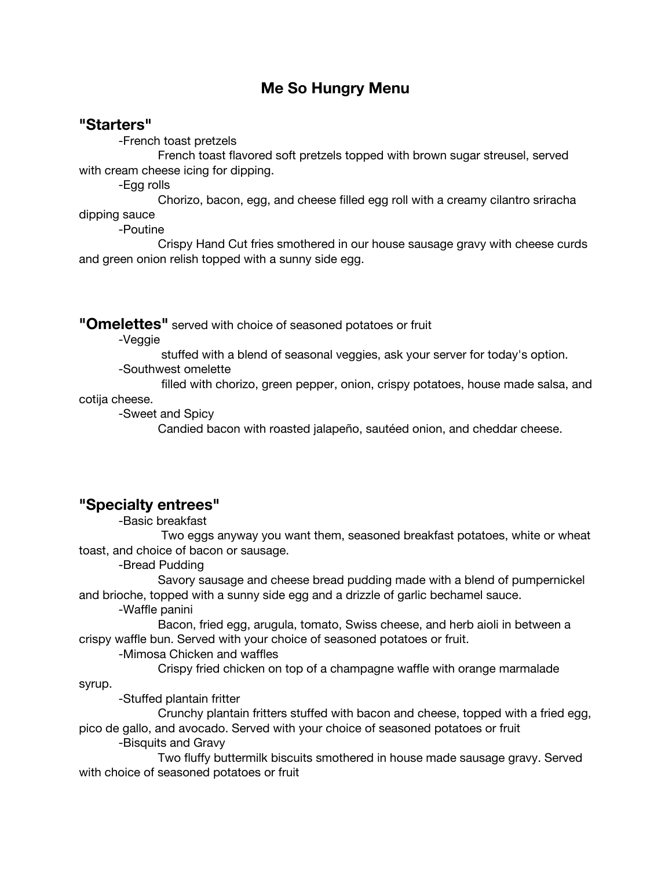# **Me So Hungry Menu**

#### **"Starters"**

-French toast pretzels

French toast flavored soft pretzels topped with brown sugar streusel, served with cream cheese icing for dipping.

-Egg rolls

Chorizo, bacon, egg, and cheese filled egg roll with a creamy cilantro sriracha dipping sauce

-Poutine

Crispy Hand Cut fries smothered in our house sausage gravy with cheese curds and green onion relish topped with a sunny side egg.

**"Omelettes"** served with choice of seasoned potatoes or fruit

-Veggie

stuffed with a blend of seasonal veggies, ask your server for today's option.

-Southwest omelette

filled with chorizo, green pepper, onion, crispy potatoes, house made salsa, and

cotija cheese.

-Sweet and Spicy

Candied bacon with roasted jalapeño, sautéed onion, and cheddar cheese.

# **"Specialty entrees"**

-Basic breakfast

Two eggs anyway you want them, seasoned breakfast potatoes, white or wheat toast, and choice of bacon or sausage.

-Bread Pudding

Savory sausage and cheese bread pudding made with a blend of pumpernickel and brioche, topped with a sunny side egg and a drizzle of garlic bechamel sauce.

-Waffle panini

Bacon, fried egg, arugula, tomato, Swiss cheese, and herb aioli in between a crispy waffle bun. Served with your choice of seasoned potatoes or fruit.

-Mimosa Chicken and waffles

Crispy fried chicken on top of a champagne waffle with orange marmalade

syrup.

-Stuffed plantain fritter

Crunchy plantain fritters stuffed with bacon and cheese, topped with a fried egg, pico de gallo, and avocado. Served with your choice of seasoned potatoes or fruit

-Bisquits and Gravy

Two fluffy buttermilk biscuits smothered in house made sausage gravy. Served with choice of seasoned potatoes or fruit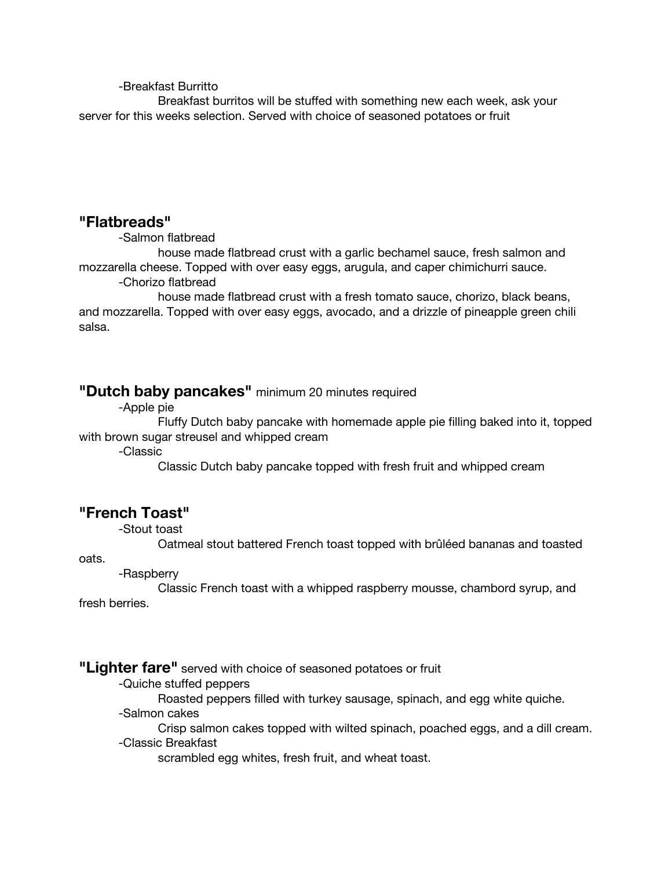-Breakfast Burritto

Breakfast burritos will be stuffed with something new each week, ask your server for this weeks selection. Served with choice of seasoned potatoes or fruit

#### **"Flatbreads"**

-Salmon flatbread

house made flatbread crust with a garlic bechamel sauce, fresh salmon and mozzarella cheese. Topped with over easy eggs, arugula, and caper chimichurri sauce. -Chorizo flatbread

house made flatbread crust with a fresh tomato sauce, chorizo, black beans, and mozzarella. Topped with over easy eggs, avocado, and a drizzle of pineapple green chili salsa.

# **"Dutch baby pancakes"** minimum <sup>20</sup> minutes required

-Apple pie

Fluffy Dutch baby pancake with homemade apple pie filling baked into it, topped with brown sugar streusel and whipped cream

-Classic

Classic Dutch baby pancake topped with fresh fruit and whipped cream

# **"French Toast"**

-Stout toast

Oatmeal stout battered French toast topped with brûléed bananas and toasted

oats.

-Raspberry

Classic French toast with a whipped raspberry mousse, chambord syrup, and fresh berries.

#### **"Lighter fare"** served with choice of seasoned potatoes or fruit

- -Quiche stuffed peppers
	- Roasted peppers filled with turkey sausage, spinach, and egg white quiche.
- -Salmon cakes

Crisp salmon cakes topped with wilted spinach, poached eggs, and a dill cream. -Classic Breakfast

scrambled egg whites, fresh fruit, and wheat toast.